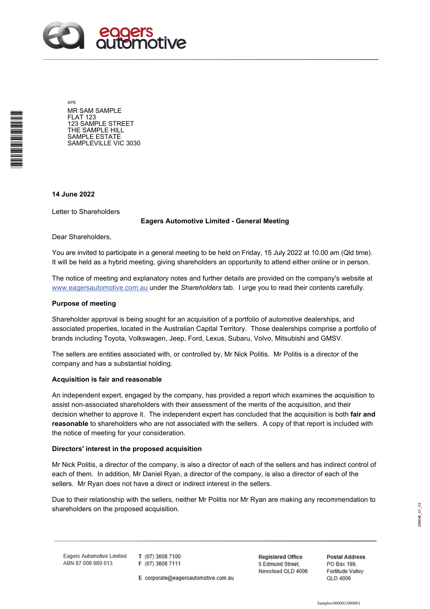

APE MR SAM SAMPLE FLAT 123 123 SAMPLE STREET THE SAMPLE HILL SAMPLE ESTATE SAMPLEVILLE VIC 3030

**14 June 2022** 

\*<br>\* London<br>Timografia

Letter to Shareholders

## **Eagers Automotive Limited - General Meeting**

Dear Shareholders,

You are invited to participate in a general meeting to be held on Friday, 15 July 2022 at 10.00 am (Qld time). It will be held as a hybrid meeting, giving shareholders an opportunity to attend either online or in person.

The notice of meeting and explanatory notes and further details are provided on the company's website at www.eagersautomotive.com.au under the *Shareholders* tab. I urge you to read their contents carefully.

### **Purpose of meeting**

Shareholder approval is being sought for an acquisition of a portfolio of automotive dealerships, and associated properties, located in the Australian Capital Territory. Those dealerships comprise a portfolio of brands including Toyota, Volkswagen, Jeep, Ford, Lexus, Subaru, Volvo, Mitsubishi and GMSV.

The sellers are entities associated with, or controlled by, Mr Nick Politis. Mr Politis is a director of the company and has a substantial holding.

#### **Acquisition is fair and reasonable**

An independent expert, engaged by the company, has provided a report which examines the acquisition to assist non-associated shareholders with their assessment of the merits of the acquisition, and their decision whether to approve it. The independent expert has concluded that the acquisition is both **fair and reasonable** to shareholders who are not associated with the sellers. A copy of that report is included with the notice of meeting for your consideration.

#### **Directors' interest in the proposed acquisition**

Mr Nick Politis, a director of the company, is also a director of each of the sellers and has indirect control of each of them. In addition, Mr Daniel Ryan, a director of the company, is also a director of each of the sellers. Mr Ryan does not have a direct or indirect interest in the sellers.

Due to their relationship with the sellers, neither Mr Politis nor Mr Ryan are making any recommendation to shareholders on the proposed acquisition.

Eagers Automotive Limited ABN 87 009 680 013

T (07) 3608 7100 F (07) 3608 7111

E corporate@eagersautomotive.com.au

**Registered Office** 5 Edmund Street, Newstead QLD 4006 **Postal Address** PO Box 199, **Fortitude Valley QLD 4006**